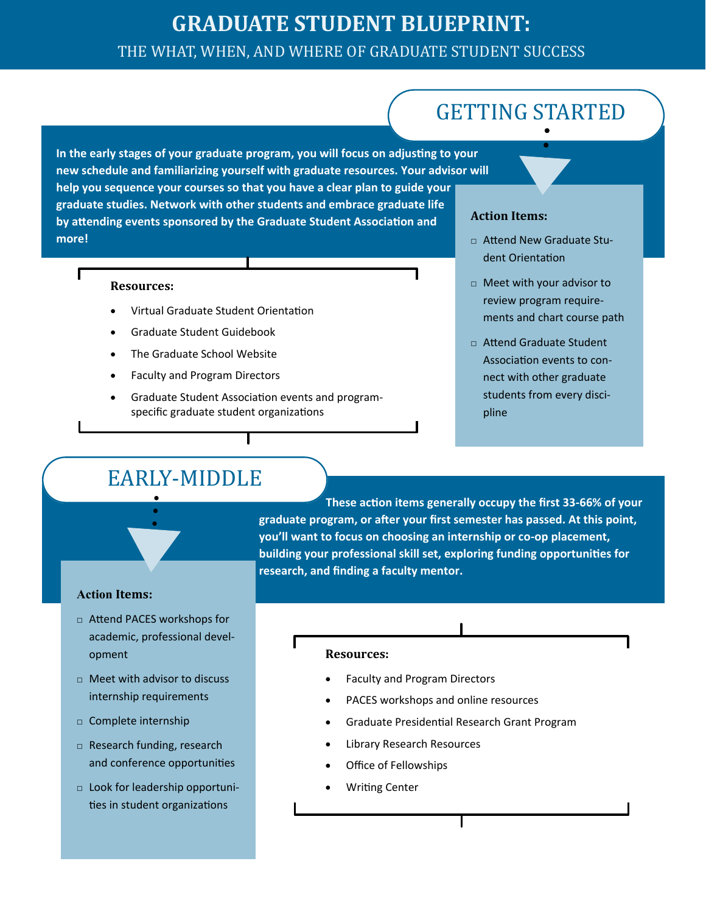### **GRADUATE STUDENT BLUEPRINT:**  THE WHAT, WHEN, AND WHERE OF GRADUATE STUDENT SUCCESS

# GETTING STARTED

**In the early stages of your graduate program, you will focus on adjusting to your new schedule and familiarizing yourself with graduate resources. Your advisor will help you sequence your courses so that you have a clear plan to guide your graduate studies. Network with other students and embrace graduate life by attending events sponsored by the Graduate Student Association and more!** 

#### **Resources:**

- Virtual Graduate Student Orientation
- Graduate Student Guidebook
- The Graduate School Website
- Faculty and Program Directors
- Graduate Student Association events and programspecific graduate student organizations

### **Action Items:**

- □ Attend New Graduate Student Orientation
- □ Meet with your advisor to review program requirements and chart course path
- □ Attend Graduate Student Association events to connect with other graduate students from every discipline

### EARLY-MIDDLE

**These action items generally occupy the first 33-66% of your graduate program, or after your first semester has passed. At this point, you'll want to focus on choosing an internship or co-op placement, building your professional skill set, exploring funding opportunities for research, and finding a faculty mentor.** 

### **Action Items:**

- □ Attend PACES workshops for academic, professional development
- □ Meet with advisor to discuss internship requirements
- □ Complete internship
- □ Research funding, research and conference opportunities
- □ Look for leadership opportunities in student organizations

### **Resources:**

- Faculty and Program Directors
- PACES workshops and online resources
- Graduate Presidential Research Grant Program
- Library Research Resources
- Office of Fellowships
- Writing Center